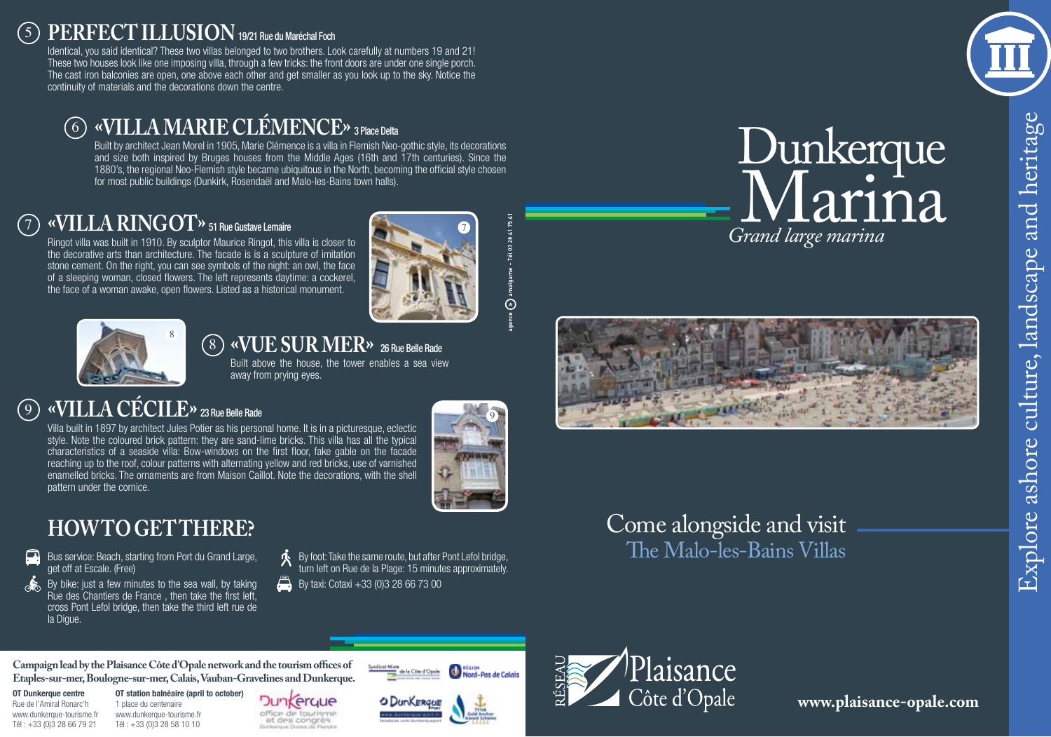### <sup>5</sup> **PERFECT ILLUSION** 19/21 Rue du Maréchal Foch

Identical, you said identical? These two villas belonged to two brothers. Look carefully at numbers 19 and 21! These two houses look like one imposing villa, through a few tricks: the front doors are under one single porch. The cast iron balconies are open, one above each other and get smaller as you look up to the sky. Notice the continuity of materials and the decorations down the centre.

### 6 **«villa Marie Clémence»** 3 Place Delta

Built by architect Jean Morel in 1905, Marie Clémence is a villa in Flemish Neo-gothic style, its decorations and size both inspired by Bruges houses from the Middle Ages (16th and 17th centuries). Since the 1880's, the regional Neo-Flemish style became ubiquitous in the North, becoming the official style chosen for most public buildings (Dunkirk, Rosendaël and Malo-les-Bains town halls).

## 7 **«Villa Ringot»** 51 Rue Gustave Lemaire

Ringot villa was built in 1910. By sculptor Maurice Ringot, this villa is closer to the decorative arts than architecture. The facade is is a sculpture of imitation stone cement. On the right, you can see symbols of the night: an owl, the face of a sleeping woman, closed flowers. The left represents daytime: a cockerel, the face of a woman awake, open flowers. Listed as a historical monument.





#### $(8)$ **«Vuesurmer»** 26 Rue Belle Rade

Built above the house, the tower enables a sea view away from prying eyes.

### $\circledcirc$ **«Villa Cécile»** 23 Rue Belle Rade

Villa built in 1897 by architect Jules Potier as his personal home. It is in a picturesque, eclectic style. Note the coloured brick pattern: they are sand-lime bricks. This villa has all the typical characteristics of a seaside villa: Bow-windows on the first floor, fake gable on the facade reaching up to the roof, colour patterns with alternating yellow and red bricks, use of varnished enamelled bricks. The ornaments are from Maison Caillot. Note the decorations, with the shell pattern under the cornice.



 $\tilde{\odot}$ 

## **HOW TO GET THERE?**

- Bus service: Beach, starting from Port du Grand Large, get off at Escale. (Free)
- $\alpha$  By bike: just a few minutes to the sea wall, by taking Rue des Chantiers de France , then take the first left, cross Pont Lefol bridge, then take the third left rue de la Digue.
- By foot: Take the same route, but after Pont Lefol bridge, turn left on Rue de la Plage: 15 minutes approximately.
- $\Box$  By taxi: Cotaxi +33 (0) 3 28 66 73 00

Come alongside and visit The Malo-les-Bains Villas



# *Grand large marina* Dunkerque  $\rm M$ arin $\rm a$





**Campaign lead by the Plaisance Côte d'Opale network and the tourism offices of Etaples-sur-mer, Boulogne-sur-mer, Calais, Vauban-Gravelines and Dunkerque.**

**OT Dunkerque centre** Rue de l'Amiral Ronarc'h www.dunkerque-tourisme.fr Tél : +33 (0)3 28 66 79 21

**OT station balnéaire (april to october)** 1 place du centenaire www.dunkerque-tourisme.fr Tél : +33 (0)3 28 58 10 10

Dunkerque office de touriem et des congrès



**Nord-Pas de Calais** 

le la Côte d'Opele